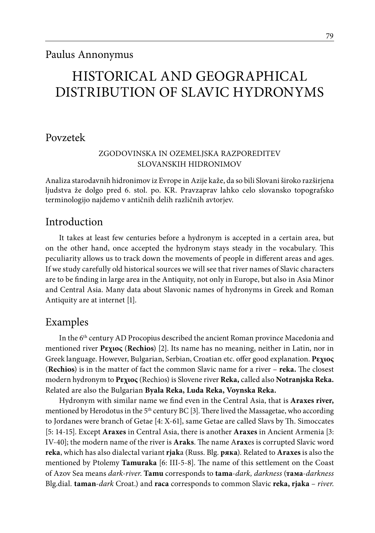# HISTORICAL AND GEOGRAPHICAL DISTRIBUTION OF SLAVIC HYDRONYMS

## Povzetek

#### Zgodovinska in ozemeljska razporeditev Slovanskih hidronimov

Analiza starodavnih hidronimov iz Evrope in Azije kaže, da so bili Slovani široko razširjena ljudstva že dolgo pred 6. stol. po. KR. Pravzaprav lahko celo slovansko topografsko terminologijo najdemo v antičnih delih različnih avtorjev.

## Introduction

It takes at least few centuries before a hydronym is accepted in a certain area, but on the other hand, once accepted the hydronym stays steady in the vocabulary. This peculiarity allows us to track down the movements of people in different areas and ages. If we study carefully old historical sources we will see that river names of Slavic characters are to be finding in large area in the Antiquity, not only in Europe, but also in Asia Minor and Central Asia. Many data about Slavonic names of hydronyms in Greek and Roman Antiquity are at internet [1].

## Examples

In the 6th century AD Procopius described the ancient Roman province Macedonia and mentioned river **Ρεχιος** (**Rechios**) [2]. Its name has no meaning, neither in Latin, nor in Greek language. However, Bulgarian, Serbian, Croatian etc. offer good explanation. **Ρεχιος** (**Rechios**) is in the matter of fact the common Slavic name for a river – **reka.** The closest modern hydronym to **Ρεχιος** (Rechios) is Slovene river **Reka,** called also **Notranjska Reka.**  Related are also the Bulgarian **Byala Reka, Luda Reka, Voynska Reka.** 

Hydronym with similar name we find even in the Central Asia, that is **Araxes river,**  mentioned by Herodotus in the  $5<sup>th</sup>$  century BC [3]. There lived the Massagetae, who according to Jordanes were branch of Getae [4: X-61], same Getae are called Slavs by Th. Simoccates [5: 14-15]. Except **Araxes** in Central Asia, there is another **Araxes** in Ancient Armenia [3: IV-40]; the modern name of the river is **Araks**. The name A**rax**es is corrupted Slavic word **reka**, which has also dialectal variant **rjak**a (Russ. Blg. **ряка**). Related to **Araxes** is also the mentioned by Ptolemy **Tamuraka** [6: III-5-8]. The name of this settlement on the Coast of Azov Sea means *dark-river*. **Tamu** corresponds to **tama**-*dark, darkness* (**тама***-darkness*  Blg.dial*.* **taman***-dark* Croat.) and **raca** corresponds to common Slavic **reka, rjaka** – *river*.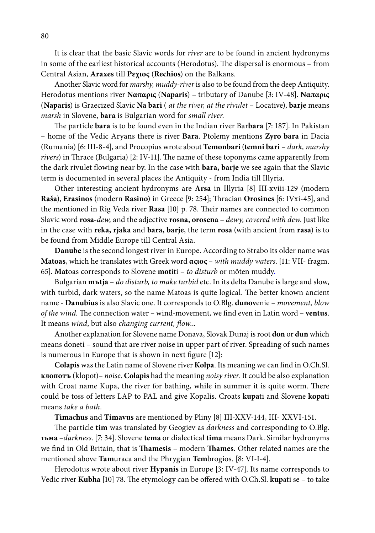It is clear that the basic Slavic words for *river* are to be found in ancient hydronyms in some of the earliest historical accounts (Herodotus). The dispersal is enormous – from Central Asian, **Araxes** till **Ρεχιος** (**Rechios**) on the Balkans.

Another Slavic word for *marshy, muddy-river* is also to be found from the deep Antiquity. Herodotus mentions river **Ναπαρις** (**Naparis**) – tributary of Danube [3: IV-48]. **Ναπαρις** (**Naparis**) is Graecized Slavic **Na bari** ( *at the river, at the rivulet* – Locative), **barje** means *marsh* in Slovene, **bara** is Bulgarian word for *small river*.

The particle **bara** is to be found even in the Indian river Bar**bara** [7: 187]. In Pakistan – home of the Vedic Aryans there is river **Bara**. Ptolemy mentions **Zyro bara** in Dacia (Rumania) [6: III-8-4], and Procopius wrote about **Temonbari** (**temni bari** – *dark, marshy rivers*) in Thrace (Bulgaria) [2: IV-11]. The name of these toponyms came apparently from the dark rivulet flowing near by. In the case with **bara, barje** we see again that the Slavic term is documented in several places the Antiquity - from India till Illyria.

Other interesting ancient hydronyms are **Arsa** in Illyria [8] III-xviii-129 (modern **Raša**), **Erasinos** (modern **Rasino)** in Greece [9: 254]; Thracian **Orosines** [6: IVxi-45], and the mentioned in Rig Veda river **Rasa** [10] p. 78. Their names are connected to common Slavic word **rosa-***dew,* and the adjective **rosna, orosena** – *dewy, covered with dew*. Just like in the case with **reka, rjaka** and **bara, barje**, the term **rosa** (with ancient from **rasa**) is to be found from Middle Europe till Central Asia.

**Danube** is the second longest river in Europe. According to Strabo its older name was **Matoas**, which he translates with Greek word **αςιος** – *with muddy waters*. [11: VII- fragm. 65]. **Mat**oas corresponds to Slovene **mot**iti – *to disturb* or môten muddy.

Bulgarian **mъtja** – *do disturb, to make turbid* etc. In its delta Danube is large and slow, with turbid, dark waters, so the name Matoas is quite logical. The better known ancient name - **Danubius** is also Slavic one. It corresponds to O.Blg. **dunov**enie – *movement, blow of the wind.* The connection water – wind-movement, we find even in Latin word – **ventus**. It means *wind*, but also *changing current, flow.*..

Another explanation for Slovene name Donava, Slovak Dunaj is root **don** or **dun** which means doneti – sound that are river noise in upper part of river. Spreading of such names is numerous in Europe that is shown in next figure [12]:

**Colapis** was the Latin name of Slovene river **Kolpa**. Its meaning we can find in O.Ch.Sl. **клопотъ** (klopot)– *noise*. **Colapis** had the meaning *noisy river.* It could be also explanation with Croat name Kupa, the river for bathing, while in summer it is quite worm. There could be toss of letters LAP to PAL and give Kopalis. Croats **kupa**ti and Slovene **kopa**ti means *take a bath*.

**Timachus** and **Timavus** are mentioned by Pliny [8] III-XXV-144, III- XXVI-151.

The particle **tim** was translated by Geogiev as *darkness* and corresponding to O.Blg. **тьма** –*darkness*. [7: 34]. Slovene **tema** or dialectical **tima** means Dark. Similar hydronyms we find in Old Britain, that is **Thamesis** – modern **Thames.** Other related names are the mentioned above **Tam**uraca and the Phrygian **Tem**brogios. [8: VI-I-4].

Herodotus wrote about river **Hypanis** in Europe [3: IV-47]. Its name corresponds to Vedic river **Kubha** [10] 78. The etymology can be offered with O.Ch.Sl. **kup**ati se – to take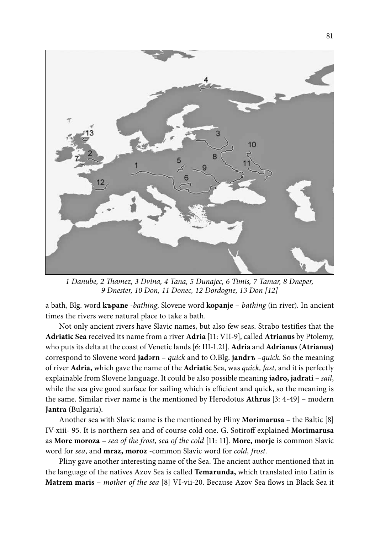

*1 Danube, 2 Thamez, 3 Dvina, 4 Tana, 5 Dunajec, 6 Timis, 7 Tamar, 8 Dneper, 9 Dnester, 10 Don, 11 Donec, 12 Dordogne, 13 Don [12]* 

a bath, Blg. word **kъpane** -*bathing*, Slovene word **kopanje** – *bathing* (in river). In ancient times the rivers were natural place to take a bath.

Not only ancient rivers have Slavic names, but also few seas. Strabo testifies that the **Adriatic Sea** received its name from a river **Adria** [11: VII-9], called **Atrianus** by Ptolemy, who puts its delta at the coast of Venetic lands [6: III-1.21]. **Adria** and **Adrianus** (**Atrianus)** correspond to Slovene word **jad**ә**rn** – *quick* and to O.Blg. **jandrъ** –*quick*. So the meaning of river **Adria,** which gave the name of the **Adriatic** Sea, was *quick, fast,* and it is perfectly explainable from Slovene language. It could be also possible meaning **jadro, jadrati** – *sail*, while the sea give good surface for sailing which is efficient and quick, so the meaning is the same. Similar river name is the mentioned by Herodotus **Athrus** [3: 4-49] – modern **Jantra** (Bulgaria).

Another sea with Slavic name is the mentioned by Pliny **Morimarusa** – the Baltic [8] IV-xiii- 95. It is northern sea and of course cold one. G. Sotiroff explained **Morimarusa** as **More moroza** – *sea of the frost, sea of the cold* [11: 11]. **More, morje** is common Slavic word for *sea*, and **mraz, moroz** -common Slavic word for *cold, frost.*

Pliny gave another interesting name of the Sea. The ancient author mentioned that in the language of the natives Azov Sea is called **Temarunda,** which translated into Latin is **Matrem maris** – *mother of the sea* [8] VI-vii-20. Because Azov Sea flows in Black Sea it